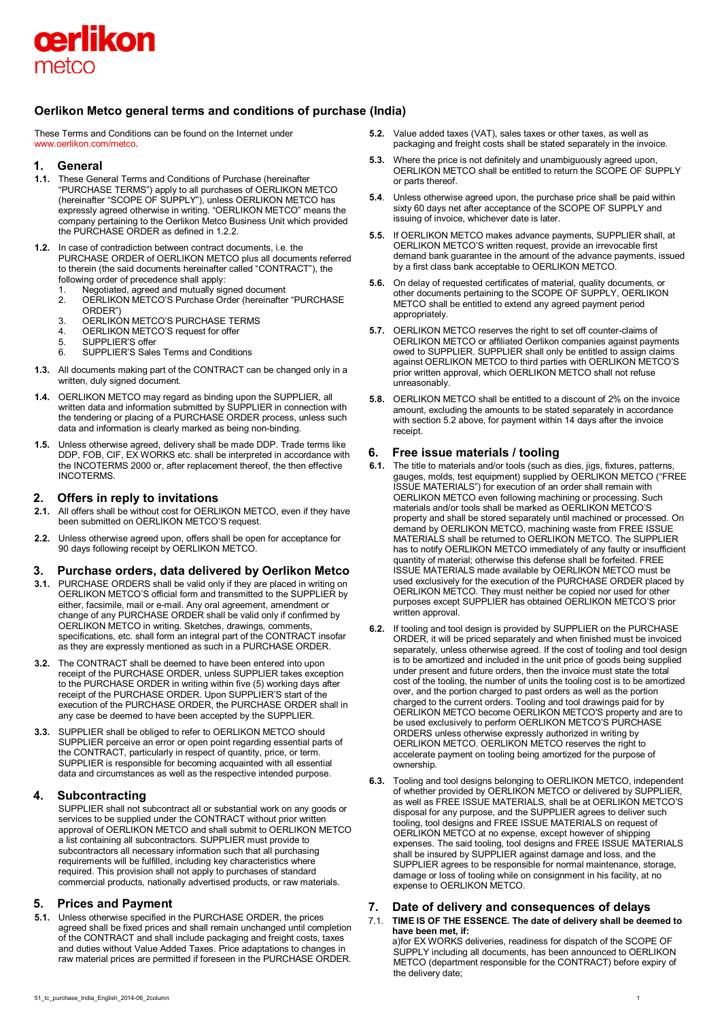

# **Oerlikon Metco general terms and conditions of purchase (India)**

These Terms and Conditions can be found on the Internet under [www.oerlikon.com/metco.](http://www.oerlikon.com/metco)

#### **1. General**

- **1.1.** These General Terms and Conditions of Purchase (hereinafter "PURCHASE TERMS") apply to all purchases of OERLIKON METCO (hereinafter "SCOPE OF SUPPLY"), unless OERLIKON METCO has expressly agreed otherwise in writing. "OERLIKON METCO" means the company pertaining to the Oerlikon Metco Business Unit which provided the PURCHASE ORDER as defined in 1.2.2.
- **1.2.** In case of contradiction between contract documents, i.e. the PURCHASE ORDER of OERLIKON METCO plus all documents referred to therein (the said documents hereinafter called "CONTRACT"), the following order of precedence shall apply:
	- 1. Negotiated, agreed and mutually signed document
	- 2. OERLIKON METCO'S Purchase Order (hereinafter "PURCHASE ORDER")
	- 3. OERLIKON METCO'S PURCHASE TERMS<br>4. OERLIKON METCO'S request for offer
	- 4. **OERLIKON METCO'S request for offer**<br>5. SUPPLIER'S offer
	- 5. SUPPLIER'S offer<br>6. SUPPLIER'S Sales
	- 6. SUPPLIER'S Sales Terms and Conditions
- **1.3.** All documents making part of the CONTRACT can be changed only in a written, duly signed document.
- **1.4.** OERLIKON METCO may regard as binding upon the SUPPLIER, all written data and information submitted by SUPPLIER in connection with the tendering or placing of a PURCHASE ORDER process, unless such data and information is clearly marked as being non-binding.
- **1.5.** Unless otherwise agreed, delivery shall be made DDP. Trade terms like DDP, FOB, CIF, EX WORKS etc. shall be interpreted in accordance with the INCOTERMS 2000 or, after replacement thereof, the then effective INCOTERMS.

## **2. Offers in reply to invitations**

- **2.1.** All offers shall be without cost for OERLIKON METCO, even if they have been submitted on OERLIKON METCO'S request.
- **2.2.** Unless otherwise agreed upon, offers shall be open for acceptance for 90 days following receipt by OERLIKON METCO.

# **3. Purchase orders, data delivered by Oerlikon Metco**

- **3.1.** PURCHASE ORDERS shall be valid only if they are placed in writing on OERLIKON METCO'S official form and transmitted to the SUPPLIER by either, facsimile, mail or e-mail. Any oral agreement, amendment or change of any PURCHASE ORDER shall be valid only if confirmed by OERLIKON METCO in writing. Sketches, drawings, comments, specifications, etc. shall form an integral part of the CONTRACT insofar as they are expressly mentioned as such in a PURCHASE ORDER.
- **3.2.** The CONTRACT shall be deemed to have been entered into upon receipt of the PURCHASE ORDER, unless SUPPLIER takes exception to the PURCHASE ORDER in writing within five (5) working days after receipt of the PURCHASE ORDER. Upon SUPPLIER'S start of the execution of the PURCHASE ORDER, the PURCHASE ORDER shall in any case be deemed to have been accepted by the SUPPLIER.
- **3.3.** SUPPLIER shall be obliged to refer to OERLIKON METCO should SUPPLIER perceive an error or open point regarding essential parts of the CONTRACT, particularly in respect of quantity, price, or term. SUPPLIER is responsible for becoming acquainted with all essential data and circumstances as well as the respective intended purpose.

# **4. Subcontracting**

SUPPLIER shall not subcontract all or substantial work on any goods or services to be supplied under the CONTRACT without prior written approval of OERLIKON METCO and shall submit to OERLIKON METCO a list containing all subcontractors. SUPPLIER must provide to subcontractors all necessary information such that all purchasing requirements will be fulfilled, including key characteristics where required. This provision shall not apply to purchases of standard commercial products, nationally advertised products, or raw materials.

# **5. Prices and Payment**

**5.1.** Unless otherwise specified in the PURCHASE ORDER, the prices agreed shall be fixed prices and shall remain unchanged until completion of the CONTRACT and shall include packaging and freight costs, taxes and duties without Value Added Taxes. Price adaptations to changes in raw material prices are permitted if foreseen in the PURCHASE ORDER.

- **5.2.** Value added taxes (VAT), sales taxes or other taxes, as well as packaging and freight costs shall be stated separately in the invoice.
- **5.3.** Where the price is not definitely and unambiguously agreed upon, OERLIKON METCO shall be entitled to return the SCOPE OF SUPPLY or parts thereof.
- **5.4**. Unless otherwise agreed upon, the purchase price shall be paid within sixty 60 days net after acceptance of the SCOPE OF SUPPLY and issuing of invoice, whichever date is later.
- **5.5.** If OERLIKON METCO makes advance payments, SUPPLIER shall, at OERLIKON METCO'S written request, provide an irrevocable first demand bank guarantee in the amount of the advance payments, issued by a first class bank acceptable to OERLIKON METCO.
- **5.6.** On delay of requested certificates of material, quality documents, or other documents pertaining to the SCOPE OF SUPPLY, OERLIKON METCO shall be entitled to extend any agreed payment period appropriately.
- **5.7.** OERLIKON METCO reserves the right to set off counter-claims of OERLIKON METCO or affiliated Oerlikon companies against payments owed to SUPPLIER. SUPPLIER shall only be entitled to assign claims against OERLIKON METCO to third parties with OERLIKON METCO'S prior written approval, which OERLIKON METCO shall not refuse unreasonably.
- **5.8.** OERLIKON METCO shall be entitled to a discount of 2% on the invoice amount, excluding the amounts to be stated separately in accordance with section 5.2 above, for payment within 14 days after the invoice receipt.

# **6. Free issue materials / tooling**

- **6.1.** The title to materials and/or tools (such as dies, jigs, fixtures, patterns, gauges, molds, test equipment) supplied by OERLIKON METCO ("FREE ISSUE MATERIALS") for execution of an order shall remain with OERLIKON METCO even following machining or processing. Such materials and/or tools shall be marked as OERLIKON METCO'S property and shall be stored separately until machined or processed. On demand by OERLIKON METCO, machining waste from FREE ISSUE MATERIALS shall be returned to OERLIKON METCO. The SUPPLIER has to notify OERLIKON METCO immediately of any faulty or insufficient quantity of material; otherwise this defense shall be forfeited. FREE ISSUE MATERIALS made available by OERLIKON METCO must be used exclusively for the execution of the PURCHASE ORDER placed by OERLIKON METCO. They must neither be copied nor used for other purposes except SUPPLIER has obtained OERLIKON METCO'S prior written approval.
- **6.2.** If tooling and tool design is provided by SUPPLIER on the PURCHASE ORDER, it will be priced separately and when finished must be invoiced separately, unless otherwise agreed. If the cost of tooling and tool design is to be amortized and included in the unit price of goods being supplied under present and future orders, then the invoice must state the total cost of the tooling, the number of units the tooling cost is to be amortized over, and the portion charged to past orders as well as the portion charged to the current orders. Tooling and tool drawings paid for by OERLIKON METCO become OERLIKON METCO'S property and are to be used exclusively to perform OERLIKON METCO'S PURCHASE ORDERS unless otherwise expressly authorized in writing by OERLIKON METCO. OERLIKON METCO reserves the right to accelerate payment on tooling being amortized for the purpose of ownership.
- **6.3.** Tooling and tool designs belonging to OERLIKON METCO, independent of whether provided by OERLIKON METCO or delivered by SUPPLIER, as well as FREE ISSUE MATERIALS, shall be at OERLIKON METCO'S disposal for any purpose, and the SUPPLIER agrees to deliver such tooling, tool designs and FREE ISSUE MATERIALS on request of OERLIKON METCO at no expense, except however of shipping expenses. The said tooling, tool designs and FREE ISSUE MATERIALS shall be insured by SUPPLIER against damage and loss, and the SUPPLIER agrees to be responsible for normal maintenance, storage, damage or loss of tooling while on consignment in his facility, at no expense to OERLIKON METCO.

# **7. Date of delivery and consequences of delays**

7.1. **TIME IS OF THE ESSENCE. The date of delivery shall be deemed to have been met, if:** 

a)for EX WORKS deliveries, readiness for dispatch of the SCOPE OF SUPPLY including all documents, has been announced to OERLIKON METCO (department responsible for the CONTRACT) before expiry of the delivery date;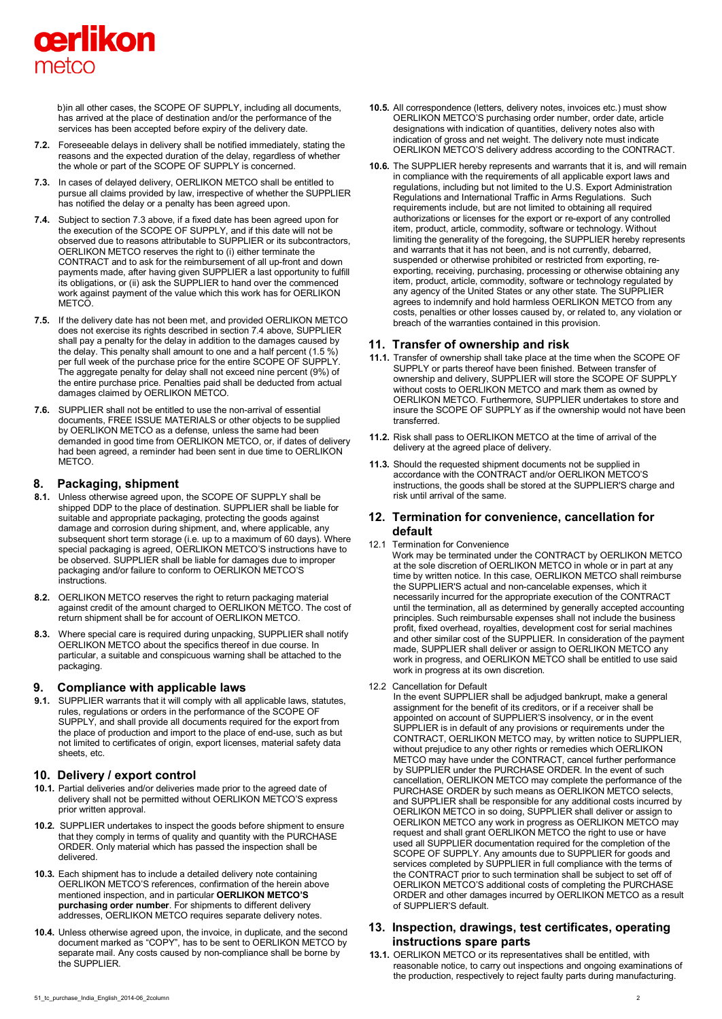# cerlikon metco

b)in all other cases, the SCOPE OF SUPPLY, including all documents, has arrived at the place of destination and/or the performance of the services has been accepted before expiry of the delivery date.

- **7.2.** Foreseeable delays in delivery shall be notified immediately, stating the reasons and the expected duration of the delay, regardless of whether the whole or part of the SCOPE OF SUPPLY is concerned.
- **7.3.** In cases of delayed delivery, OERLIKON METCO shall be entitled to pursue all claims provided by law, irrespective of whether the SUPPLIER has notified the delay or a penalty has been agreed upon.
- **7.4.** Subject to section 7.3 above, if a fixed date has been agreed upon for the execution of the SCOPE OF SUPPLY, and if this date will not be observed due to reasons attributable to SUPPLIER or its subcontractors, OERLIKON METCO reserves the right to (i) either terminate the CONTRACT and to ask for the reimbursement of all up-front and down payments made, after having given SUPPLIER a last opportunity to fulfill its obligations, or (ii) ask the SUPPLIER to hand over the commenced work against payment of the value which this work has for OERLIKON METCO.
- **7.5.** If the delivery date has not been met, and provided OERLIKON METCO does not exercise its rights described in section 7.4 above, SUPPLIER shall pay a penalty for the delay in addition to the damages caused by the delay. This penalty shall amount to one and a half percent (1.5 %) per full week of the purchase price for the entire SCOPE OF SUPPLY. The aggregate penalty for delay shall not exceed nine percent (9%) of the entire purchase price. Penalties paid shall be deducted from actual damages claimed by OERLIKON METCO.
- **7.6.** SUPPLIER shall not be entitled to use the non-arrival of essential documents, FREE ISSUE MATERIALS or other objects to be supplied by OERLIKON METCO as a defense, unless the same had been demanded in good time from OERLIKON METCO, or, if dates of delivery had been agreed, a reminder had been sent in due time to OERLIKON **METCO**

## **8. Packaging, shipment**

- **8.1.** Unless otherwise agreed upon, the SCOPE OF SUPPLY shall be shipped DDP to the place of destination. SUPPLIER shall be liable for suitable and appropriate packaging, protecting the goods against damage and corrosion during shipment, and, where applicable, any subsequent short term storage (i.e. up to a maximum of 60 days). Where special packaging is agreed, OERLIKON METCO'S instructions have to be observed. SUPPLIER shall be liable for damages due to improper packaging and/or failure to conform to OERLIKON METCO'S instructions.
- **8.2.** OERLIKON METCO reserves the right to return packaging material against credit of the amount charged to OERLIKON METCO. The cost of return shipment shall be for account of OERLIKON METCO.
- **8.3.** Where special care is required during unpacking, SUPPLIER shall notify OERLIKON METCO about the specifics thereof in due course. In particular, a suitable and conspicuous warning shall be attached to the packaging.

#### **9. Compliance with applicable laws**

**9.1.** SUPPLIER warrants that it will comply with all applicable laws, statutes, rules, regulations or orders in the performance of the SCOPE OF SUPPLY, and shall provide all documents required for the export from the place of production and import to the place of end-use, such as but not limited to certificates of origin, export licenses, material safety data sheets, etc.

# **10. Delivery / export control**

- **10.1.** Partial deliveries and/or deliveries made prior to the agreed date of delivery shall not be permitted without OERLIKON METCO'S express prior written approval.
- **10.2.** SUPPLIER undertakes to inspect the goods before shipment to ensure that they comply in terms of quality and quantity with the PURCHASE ORDER. Only material which has passed the inspection shall be delivered.
- **10.3.** Each shipment has to include a detailed delivery note containing OERLIKON METCO'S references, confirmation of the herein above mentioned inspection, and in particular **OERLIKON METCO'S purchasing order number**. For shipments to different delivery addresses, OERLIKON METCO requires separate delivery notes.
- **10.4.** Unless otherwise agreed upon, the invoice, in duplicate, and the second document marked as "COPY", has to be sent to OERLIKON METCO by separate mail. Any costs caused by non-compliance shall be borne by the SUPPLIER.
- **10.5.** All correspondence (letters, delivery notes, invoices etc.) must show OERLIKON METCO'S purchasing order number, order date, article designations with indication of quantities, delivery notes also with indication of gross and net weight. The delivery note must indicate OERLIKON METCO'S delivery address according to the CONTRACT.
- **10.6.** The SUPPLIER hereby represents and warrants that it is, and will remain in compliance with the requirements of all applicable export laws and regulations, including but not limited to the U.S. Export Administration Regulations and International Traffic in Arms Regulations. Such requirements include, but are not limited to obtaining all required authorizations or licenses for the export or re-export of any controlled item, product, article, commodity, software or technology. Without limiting the generality of the foregoing, the SUPPLIER hereby represents and warrants that it has not been, and is not currently, debarred, suspended or otherwise prohibited or restricted from exporting, reexporting, receiving, purchasing, processing or otherwise obtaining any item, product, article, commodity, software or technology regulated by any agency of the United States or any other state. The SUPPLIER agrees to indemnify and hold harmless OERLIKON METCO from any costs, penalties or other losses caused by, or related to, any violation or breach of the warranties contained in this provision.

## **11. Transfer of ownership and risk**

- **11.1.** Transfer of ownership shall take place at the time when the SCOPE OF SUPPLY or parts thereof have been finished. Between transfer of ownership and delivery, SUPPLIER will store the SCOPE OF SUPPLY without costs to OERLIKON METCO and mark them as owned by OERLIKON METCO. Furthermore, SUPPLIER undertakes to store and insure the SCOPE OF SUPPLY as if the ownership would not have been transferred.
- **11.2.** Risk shall pass to OERLIKON METCO at the time of arrival of the delivery at the agreed place of delivery.
- **11.3.** Should the requested shipment documents not be supplied in accordance with the CONTRACT and/or OERLIKON METCO'S instructions, the goods shall be stored at the SUPPLIER'S charge and risk until arrival of the same.

## **12. Termination for convenience, cancellation for default**

- 12.1 Termination for Convenience
	- Work may be terminated under the CONTRACT by OERLIKON METCO at the sole discretion of OERLIKON METCO in whole or in part at any time by written notice. In this case, OERLIKON METCO shall reimburse the SUPPLIER'S actual and non-cancelable expenses, which it necessarily incurred for the appropriate execution of the CONTRACT until the termination, all as determined by generally accepted accounting principles. Such reimbursable expenses shall not include the business profit, fixed overhead, royalties, development cost for serial machines and other similar cost of the SUPPLIER. In consideration of the payment made, SUPPLIER shall deliver or assign to OERLIKON METCO any work in progress, and OERLIKON METCO shall be entitled to use said work in progress at its own discretion.
- 12.2 Cancellation for Default

In the event SUPPLIER shall be adjudged bankrupt, make a general assignment for the benefit of its creditors, or if a receiver shall be appointed on account of SUPPLIER'S insolvency, or in the event SUPPLIER is in default of any provisions or requirements under the CONTRACT, OERLIKON METCO may, by written notice to SUPPLIER, without prejudice to any other rights or remedies which OERLIKON METCO may have under the CONTRACT, cancel further performance by SUPPLIER under the PURCHASE ORDER. In the event of such cancellation, OERLIKON METCO may complete the performance of the PURCHASE ORDER by such means as OERLIKON METCO selects, and SUPPLIER shall be responsible for any additional costs incurred by OERLIKON METCO in so doing, SUPPLIER shall deliver or assign to OERLIKON METCO any work in progress as OERLIKON METCO may request and shall grant OERLIKON METCO the right to use or have used all SUPPLIER documentation required for the completion of the SCOPE OF SUPPLY. Any amounts due to SUPPLIER for goods and services completed by SUPPLIER in full compliance with the terms of the CONTRACT prior to such termination shall be subject to set off of OERLIKON METCO'S additional costs of completing the PURCHASE ORDER and other damages incurred by OERLIKON METCO as a result of SUPPLIER'S default.

## **13. Inspection, drawings, test certificates, operating instructions spare parts**

**13.1.** OERLIKON METCO or its representatives shall be entitled, with reasonable notice, to carry out inspections and ongoing examinations of the production, respectively to reject faulty parts during manufacturing.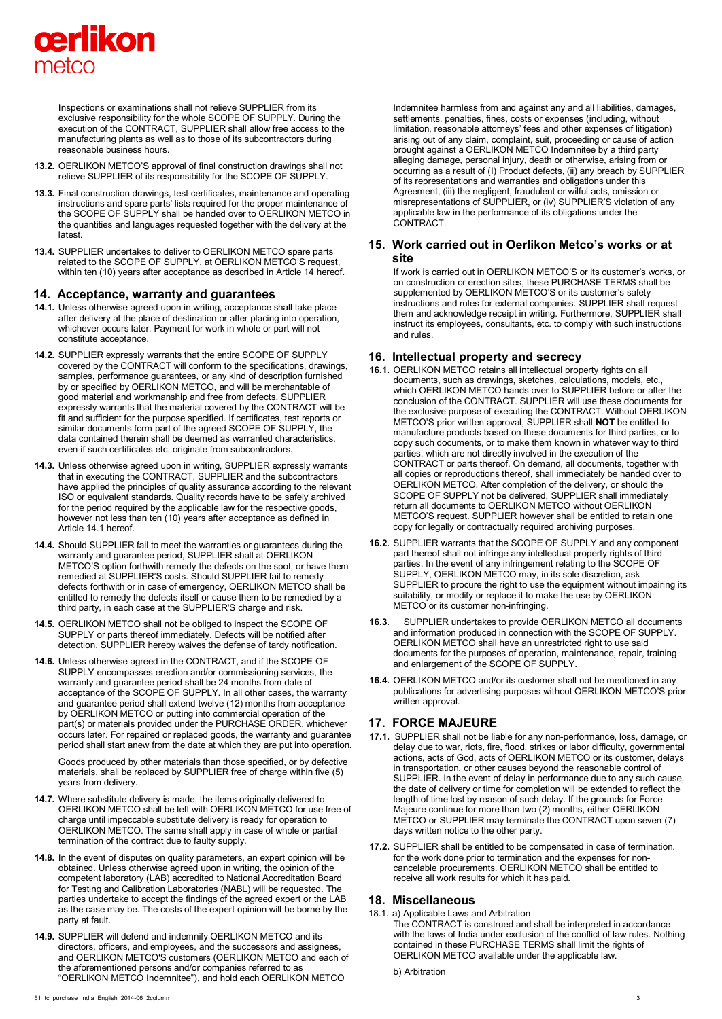

Inspections or examinations shall not relieve SUPPLIER from its exclusive responsibility for the whole SCOPE OF SUPPLY. During the execution of the CONTRACT, SUPPLIER shall allow free access to the manufacturing plants as well as to those of its subcontractors during reasonable business hours.

- **13.2.** OERLIKON METCO'S approval of final construction drawings shall not relieve SUPPLIER of its responsibility for the SCOPE OF SUPPLY.
- **13.3.** Final construction drawings, test certificates, maintenance and operating instructions and spare parts' lists required for the proper maintenance of the SCOPE OF SUPPLY shall be handed over to OERLIKON METCO in the quantities and languages requested together with the delivery at the latest.
- **13.4.** SUPPLIER undertakes to deliver to OERLIKON METCO spare parts related to the SCOPE OF SUPPLY, at OERLIKON METCO'S request, within ten (10) years after acceptance as described in Article 14 hereof.

#### **14. Acceptance, warranty and guarantees**

- **14.1.** Unless otherwise agreed upon in writing, acceptance shall take place after delivery at the place of destination or after placing into operation, whichever occurs later. Payment for work in whole or part will not constitute acceptance.
- **14.2.** SUPPLIER expressly warrants that the entire SCOPE OF SUPPLY covered by the CONTRACT will conform to the specifications, drawings, samples, performance guarantees, or any kind of description furnished by or specified by OERLIKON METCO, and will be merchantable of good material and workmanship and free from defects. SUPPLIER expressly warrants that the material covered by the CONTRACT will be fit and sufficient for the purpose specified. If certificates, test reports or similar documents form part of the agreed SCOPE OF SUPPLY, the data contained therein shall be deemed as warranted characteristics, even if such certificates etc. originate from subcontractors.
- **14.3.** Unless otherwise agreed upon in writing, SUPPLIER expressly warrants that in executing the CONTRACT, SUPPLIER and the subcontractors have applied the principles of quality assurance according to the relevant ISO or equivalent standards. Quality records have to be safely archived for the period required by the applicable law for the respective goods, however not less than ten (10) years after acceptance as defined in Article 14.1 hereof.
- **14.4.** Should SUPPLIER fail to meet the warranties or guarantees during the warranty and guarantee period, SUPPLIER shall at OERLIKON METCO'S option forthwith remedy the defects on the spot, or have them remedied at SUPPLIER'S costs. Should SUPPLIER fail to remedy defects forthwith or in case of emergency, OERLIKON METCO shall be entitled to remedy the defects itself or cause them to be remedied by a third party, in each case at the SUPPLIER'S charge and risk.
- **14.5.** OERLIKON METCO shall not be obliged to inspect the SCOPE OF SUPPLY or parts thereof immediately. Defects will be notified after detection. SUPPLIER hereby waives the defense of tardy notification.
- **14.6.** Unless otherwise agreed in the CONTRACT, and if the SCOPE OF SUPPLY encompasses erection and/or commissioning services, the warranty and guarantee period shall be 24 months from date of acceptance of the SCOPE OF SUPPLY. In all other cases, the warranty and guarantee period shall extend twelve (12) months from acceptance by OERLIKON METCO or putting into commercial operation of the part(s) or materials provided under the PURCHASE ORDER, whichever occurs later. For repaired or replaced goods, the warranty and guarantee period shall start anew from the date at which they are put into operation.

Goods produced by other materials than those specified, or by defective materials, shall be replaced by SUPPLIER free of charge within five (5) years from delivery.

- **14.7.** Where substitute delivery is made, the items originally delivered to OERLIKON METCO shall be left with OERLIKON METCO for use free of charge until impeccable substitute delivery is ready for operation to OERLIKON METCO. The same shall apply in case of whole or partial termination of the contract due to faulty supply.
- **14.8.** In the event of disputes on quality parameters, an expert opinion will be obtained. Unless otherwise agreed upon in writing, the opinion of the competent laboratory (LAB) accredited to National Accreditation Board for Testing and Calibration Laboratories (NABL) will be requested. The parties undertake to accept the findings of the agreed expert or the LAB as the case may be. The costs of the expert opinion will be borne by the party at fault.
- **14.9.** SUPPLIER will defend and indemnify OERLIKON METCO and its directors, officers, and employees, and the successors and assignees, and OERLIKON METCO'S customers (OERLIKON METCO and each of the aforementioned persons and/or companies referred to as "OERLIKON METCO Indemnitee"), and hold each OERLIKON METCO

Indemnitee harmless from and against any and all liabilities, damages, settlements, penalties, fines, costs or expenses (including, without limitation, reasonable attorneys' fees and other expenses of litigation) arising out of any claim, complaint, suit, proceeding or cause of action brought against a OERLIKON METCO Indemnitee by a third party alleging damage, personal injury, death or otherwise, arising from or occurring as a result of (I) Product defects, (ii) any breach by SUPPLIER of its representations and warranties and obligations under this Agreement, (iii) the negligent, fraudulent or wilful acts, omission or misrepresentations of SUPPLIER, or (iv) SUPPLIER'S violation of any applicable law in the performance of its obligations under the CONTRACT.

#### **15. Work carried out in Oerlikon Metco's works or at site**

If work is carried out in OERLIKON METCO'S or its customer's works, or on construction or erection sites, these PURCHASE TERMS shall be supplemented by OERLIKON METCO'S or its customer's safety instructions and rules for external companies. SUPPLIER shall request them and acknowledge receipt in writing. Furthermore, SUPPLIER shall instruct its employees, consultants, etc. to comply with such instructions and rules.

#### **16. Intellectual property and secrecy**

- **16.1.** OERLIKON METCO retains all intellectual property rights on all documents, such as drawings, sketches, calculations, models, etc., which OERLIKON METCO hands over to SUPPLIER before or after the conclusion of the CONTRACT. SUPPLIER will use these documents for the exclusive purpose of executing the CONTRACT. Without OERLIKON METCO'S prior written approval, SUPPLIER shall **NOT** be entitled to manufacture products based on these documents for third parties, or to copy such documents, or to make them known in whatever way to third parties, which are not directly involved in the execution of the CONTRACT or parts thereof. On demand, all documents, together with all copies or reproductions thereof, shall immediately be handed over to OERLIKON METCO. After completion of the delivery, or should the SCOPE OF SUPPLY not be delivered, SUPPLIER shall immediately return all documents to OERLIKON METCO without OERLIKON METCO'S request. SUPPLIER however shall be entitled to retain one copy for legally or contractually required archiving purposes.
- **16.2.** SUPPLIER warrants that the SCOPE OF SUPPLY and any component part thereof shall not infringe any intellectual property rights of third parties. In the event of any infringement relating to the SCOPE OF SUPPLY, OERLIKON METCO may, in its sole discretion, ask SUPPLIER to procure the right to use the equipment without impairing its suitability, or modify or replace it to make the use by OERLIKON METCO or its customer non-infringing.
- **16.3.** SUPPLIER undertakes to provide OERLIKON METCO all documents and information produced in connection with the SCOPE OF SUPPLY. OERLIKON METCO shall have an unrestricted right to use said documents for the purposes of operation, maintenance, repair, training and enlargement of the SCOPE OF SUPPLY.
- **16.4.** OERLIKON METCO and/or its customer shall not be mentioned in any publications for advertising purposes without OERLIKON METCO'S prior written approval.

#### **17. FORCE MAJEURE**

- **17.1.** SUPPLIER shall not be liable for any non-performance, loss, damage, or delay due to war, riots, fire, flood, strikes or labor difficulty, governmental actions, acts of God, acts of OERLIKON METCO or its customer, delays in transportation, or other causes beyond the reasonable control of SUPPLIER. In the event of delay in performance due to any such cause, the date of delivery or time for completion will be extended to reflect the length of time lost by reason of such delay. If the grounds for Force Majeure continue for more than two (2) months, either OERLIKON METCO or SUPPLIER may terminate the CONTRACT upon seven (7) days written notice to the other party.
- **17.2.** SUPPLIER shall be entitled to be compensated in case of termination, for the work done prior to termination and the expenses for noncancelable procurements. OERLIKON METCO shall be entitled to receive all work results for which it has paid.

#### **18. Miscellaneous**

18.1. a) Applicable Laws and Arbitration The CONTRACT is construed and shall be interpreted in accordance with the laws of India under exclusion of the conflict of law rules. Nothing contained in these PURCHASE TERMS shall limit the rights of OERLIKON METCO available under the applicable law.

b) Arbitration